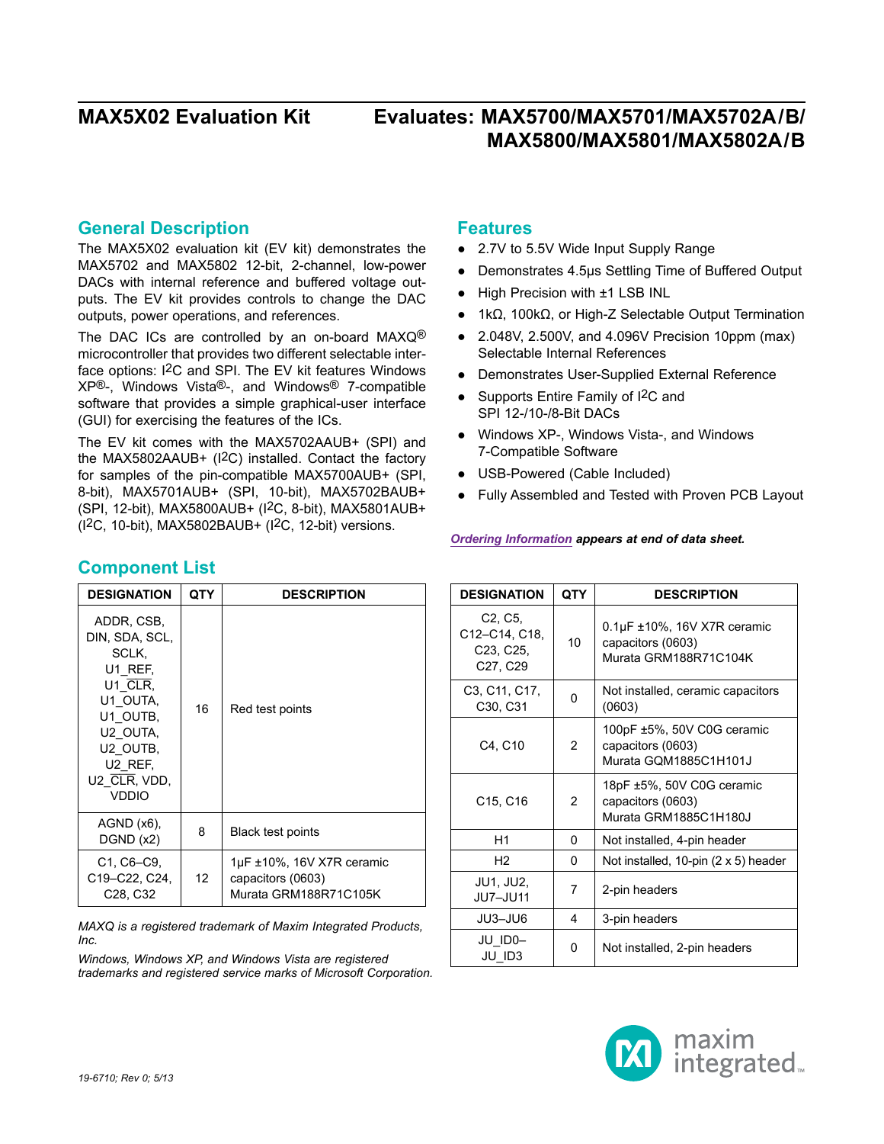### **General Description**

The MAX5X02 evaluation kit (EV kit) demonstrates the MAX5702 and MAX5802 12-bit, 2-channel, low-power DACs with internal reference and buffered voltage outputs. The EV kit provides controls to change the DAC outputs, power operations, and references.

The DAC ICs are controlled by an on-board MAXQ<sup>®</sup> microcontroller that provides two different selectable interface options: I2C and SPI. The EV kit features Windows XP®-, Windows Vista®-, and Windows® 7-compatible software that provides a simple graphical-user interface (GUI) for exercising the features of the ICs.

The EV kit comes with the MAX5702AAUB+ (SPI) and the MAX5802AAUB+ (I2C) installed. Contact the factory for samples of the pin-compatible MAX5700AUB+ (SPI, 8-bit), MAX5701AUB+ (SPI, 10-bit), MAX5702BAUB+ (SPI, 12-bit), MAX5800AUB+ (I2C, 8-bit), MAX5801AUB+ (I2C, 10-bit), MAX5802BAUB+ (I2C, 12-bit) versions.

### **Features**

- 2.7V to 5.5V Wide Input Supply Range
- ● Demonstrates 4.5µs Settling Time of Buffered Output
- High Precision with ±1 LSB INL
- $\bullet$  1kΩ, 100kΩ, or High-Z Selectable Output Termination
- ● 2.048V, 2.500V, and 4.096V Precision 10ppm (max) Selectable Internal References
- ● Demonstrates User-Supplied External Reference
- Supports Entire Family of I<sup>2</sup>C and SPI 12-/10-/8-Bit DACs
- ● Windows XP-, Windows Vista-, and Windows 7-Compatible Software
- ● USB-Powered (Cable Included)
- Fully Assembled and Tested with Proven PCB Layout

#### *[Ordering Information](#page-14-0) appears at end of data sheet.*

| <b>DESIGNATION</b>                                                          | <b>QTY</b>     | <b>DESCRIPTION</b>                                                             |
|-----------------------------------------------------------------------------|----------------|--------------------------------------------------------------------------------|
| C <sub>2</sub> , C <sub>5</sub> ,<br>C12-C14, C18,<br>C23, C25,<br>C27, C29 | 10             | $0.1\mu$ F ±10%, 16V X7R ceramic<br>capacitors (0603)<br>Murata GRM188R71C104K |
| C3, C11, C17,<br>C <sub>30</sub> , C <sub>31</sub>                          | 0              | Not installed, ceramic capacitors<br>(0603)                                    |
| C4, C10                                                                     | 2              | 100pF ±5%, 50V C0G ceramic<br>capacitors (0603)<br>Murata GQM1885C1H101J       |
| C <sub>15</sub> , C <sub>16</sub>                                           | $\overline{2}$ | 18pF ±5%, 50V C0G ceramic<br>capacitors (0603)<br>Murata GRM1885C1H180J        |
| H1                                                                          | 0              | Not installed, 4-pin header                                                    |
| H <sub>2</sub>                                                              | 0              | Not installed, 10-pin (2 x 5) header                                           |
| <b>JU1, JU2,</b><br>JU7-JU11                                                | 7              | 2-pin headers                                                                  |
| JU3-JU6                                                                     | 4              | 3-pin headers                                                                  |
| JU ID0-<br>JU ID3                                                           | 0              | Not installed, 2-pin headers                                                   |



## **Component List**

| <b>DESIGNATION</b>                                                                                                                                       | QTY | <b>DESCRIPTION</b>                                                           |
|----------------------------------------------------------------------------------------------------------------------------------------------------------|-----|------------------------------------------------------------------------------|
| ADDR, CSB,<br>DIN, SDA, SCL,<br>SCLK.<br>U1 REF.<br>$U1$ CLR,<br>U1 OUTA,<br>U1 OUTB.<br>U2 OUTA,<br>U2 OUTB,<br>U2 REF.<br>U2 CLR, VDD,<br><b>VDDIO</b> | 16  | Red test points                                                              |
| $AGND$ $(x6)$ ,<br>DGND (x2)                                                                                                                             | 8   | Black test points                                                            |
| C1, C6-C9,<br>C19-C22, C24,<br>C <sub>28</sub> , C <sub>32</sub>                                                                                         | 12  | $1\mu$ F ±10%, 16V X7R ceramic<br>capacitors (0603)<br>Murata GRM188R71C105K |

*MAXQ is a registered trademark of Maxim Integrated Products, Inc.*

*Windows, Windows XP, and Windows Vista are registered trademarks and registered service marks of Microsoft Corporation.*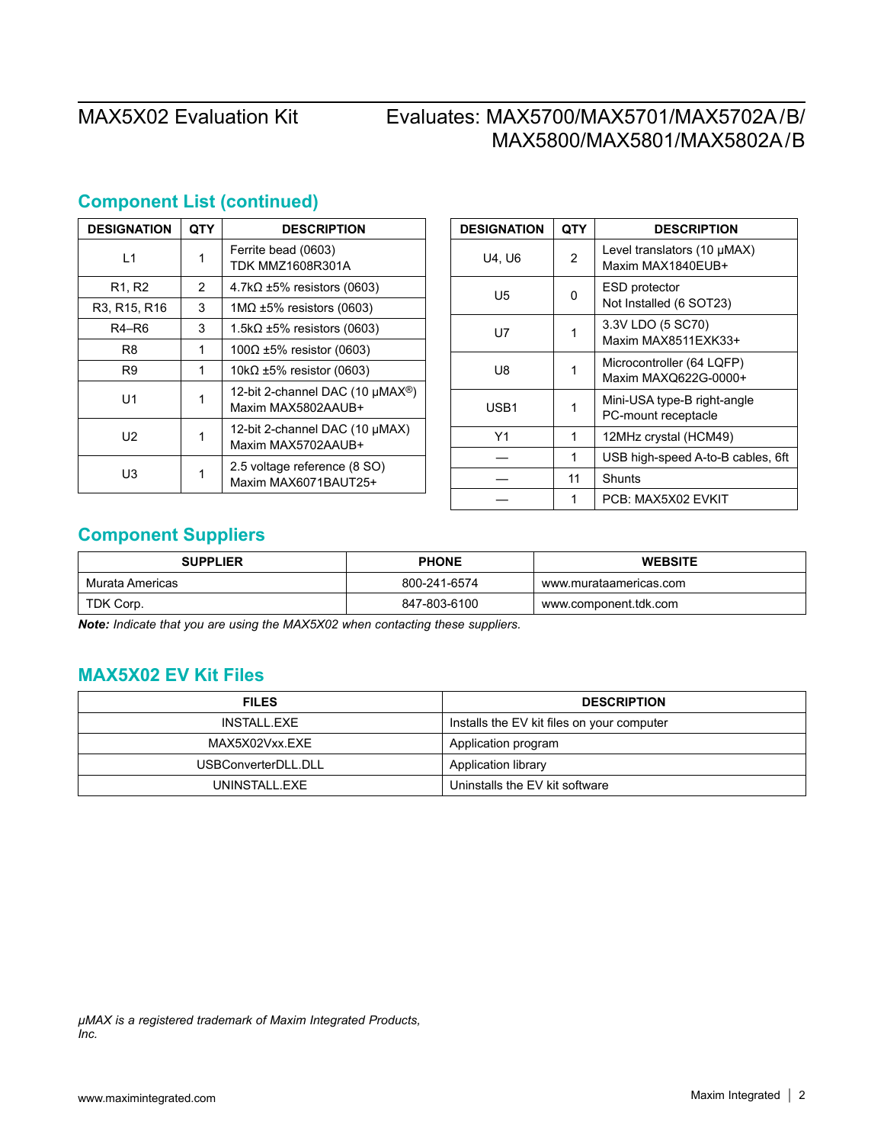| <b>DESIGNATION</b> | QTY | <b>DESCRIPTION</b>                                                 |  |
|--------------------|-----|--------------------------------------------------------------------|--|
| $\overline{1}$     |     | Ferrite bead (0603)<br>TDK MMZ1608R301A                            |  |
| R1, R2             | 2   | $4.7k\Omega \pm 5\%$ resistors (0603)                              |  |
| R3, R15, R16       | 3   | $1MΩ ±5%$ resistors (0603)                                         |  |
| R4-R6              | 3   | 1.5k $\Omega$ ±5% resistors (0603)                                 |  |
| R8                 | 1   | 100Ω ±5% resistor (0603)                                           |  |
| R9                 | 1   | 10k $\Omega$ ±5% resistor (0603)                                   |  |
| U1                 |     | 12-bit 2-channel DAC (10 µMAX <sup>®</sup> )<br>Maxim MAX5802AAUB+ |  |
| U2                 |     | 12-bit 2-channel DAC (10 µMAX)<br>Maxim MAX5702AAUB+               |  |
| UЗ                 |     | 2.5 voltage reference (8 SO)<br>Maxim MAX6071BAUT25+               |  |

## **Component List (continued)**

| <b>DESIGNATION</b> | QTY            | <b>DESCRIPTION</b>                                    |
|--------------------|----------------|-------------------------------------------------------|
| U4. U6             | $\overline{2}$ | Level translators $(10 \mu MAX)$<br>Maxim MAX1840EUB+ |
| U5                 | ŋ              | ESD protector<br>Not Installed (6 SOT23)              |
| U7                 | 1              | 3.3V LDO (5 SC70)<br>Maxim MAX8511EXK33+              |
| U8                 |                | Microcontroller (64 LQFP)<br>Maxim MAXQ622G-0000+     |
| USB1               | 1              | Mini-USA type-B right-angle<br>PC-mount receptacle    |
| Υ1                 | 1              | 12MHz crystal (HCM49)                                 |
|                    | 1              | USB high-speed A-to-B cables, 6ft                     |
|                    | 11             | Shunts                                                |
|                    | 1              | PCB: MAX5X02 EVKIT                                    |

## **Component Suppliers**

| <b>SUPPLIER</b> | <b>PHONE</b> | <b>WEBSITE</b>         |
|-----------------|--------------|------------------------|
| Murata Americas | 800-241-6574 | www.murataamericas.com |
| TDK Corp.       | 847-803-6100 | www.component.tdk.com  |

*Note: Indicate that you are using the MAX5X02 when contacting these suppliers.*

## **MAX5X02 EV Kit Files**

| <b>FILES</b>        | <b>DESCRIPTION</b>                         |
|---------------------|--------------------------------------------|
| INSTALL EXE         | Installs the EV kit files on your computer |
| MAX5X02Vxx.EXE      | Application program                        |
| USBConverterDLL.DLL | Application library                        |
| UNINSTALL EXE       | Uninstalls the EV kit software             |

*µMAX is a registered trademark of Maxim Integrated Products, Inc.*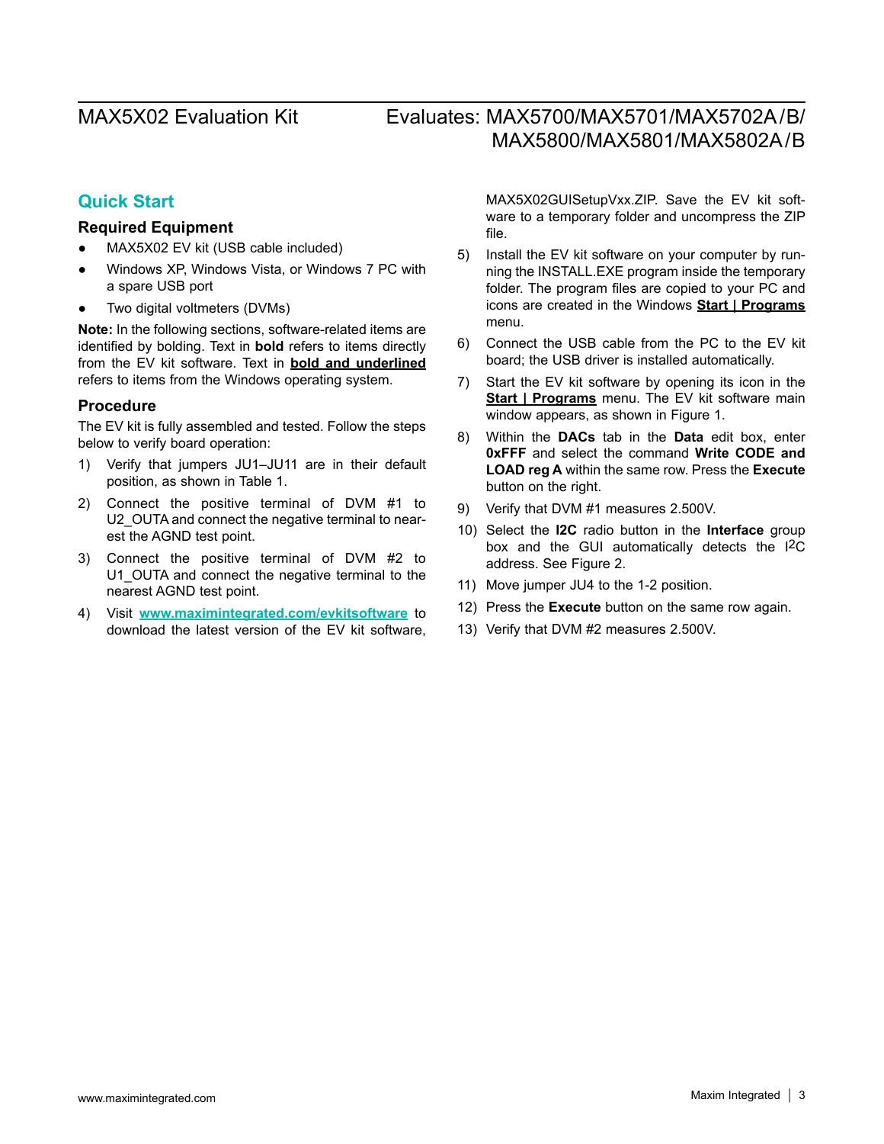## **Quick Start**

### **Required Equipment**

- MAX5X02 EV kit (USB cable included)
- Windows XP, Windows Vista, or Windows 7 PC with a spare USB port
- Two digital voltmeters (DVMs)

**Note:** In the following sections, software-related items are identified by bolding. Text in **bold** refers to items directly from the EV kit software. Text in **bold and underlined**  refers to items from the Windows operating system.

#### **Procedure**

The EV kit is fully assembled and tested. Follow the steps below to verify board operation:

- 1) Verify that jumpers JU1–JU11 are in their default position, as shown in Table 1.
- 2) Connect the positive terminal of DVM #1 to U2 OUTA and connect the negative terminal to nearest the AGND test point.
- 3) Connect the positive terminal of DVM #2 to U1\_OUTA and connect the negative terminal to the nearest AGND test point.
- 4) Visit **<www.maximintegrated.com/evkitsoftware>** to download the latest version of the EV kit software,

MAX5X02GUISetupVxx.ZIP. Save the EV kit software to a temporary folder and uncompress the ZIP file.

- 5) Install the EV kit software on your computer by running the INSTALL.EXE program inside the temporary folder. The program files are copied to your PC and icons are created in the Windows **Start | Programs** menu.
- 6) Connect the USB cable from the PC to the EV kit board; the USB driver is installed automatically.
- 7) Start the EV kit software by opening its icon in the **Start | Programs** menu. The EV kit software main window appears, as shown in Figure 1.
- 8) Within the **DACs** tab in the **Data** edit box, enter **0xFFF** and select the command **Write CODE and LOAD reg A** within the same row. Press the **Execute**  button on the right.
- 9) Verify that DVM #1 measures 2.500V.
- 10) Select the **I2C** radio button in the **Interface** group box and the GUI automatically detects the I<sup>2</sup>C address. See Figure 2.
- 11) Move jumper JU4 to the 1-2 position.
- 12) Press the **Execute** button on the same row again.
- 13) Verify that DVM #2 measures 2.500V.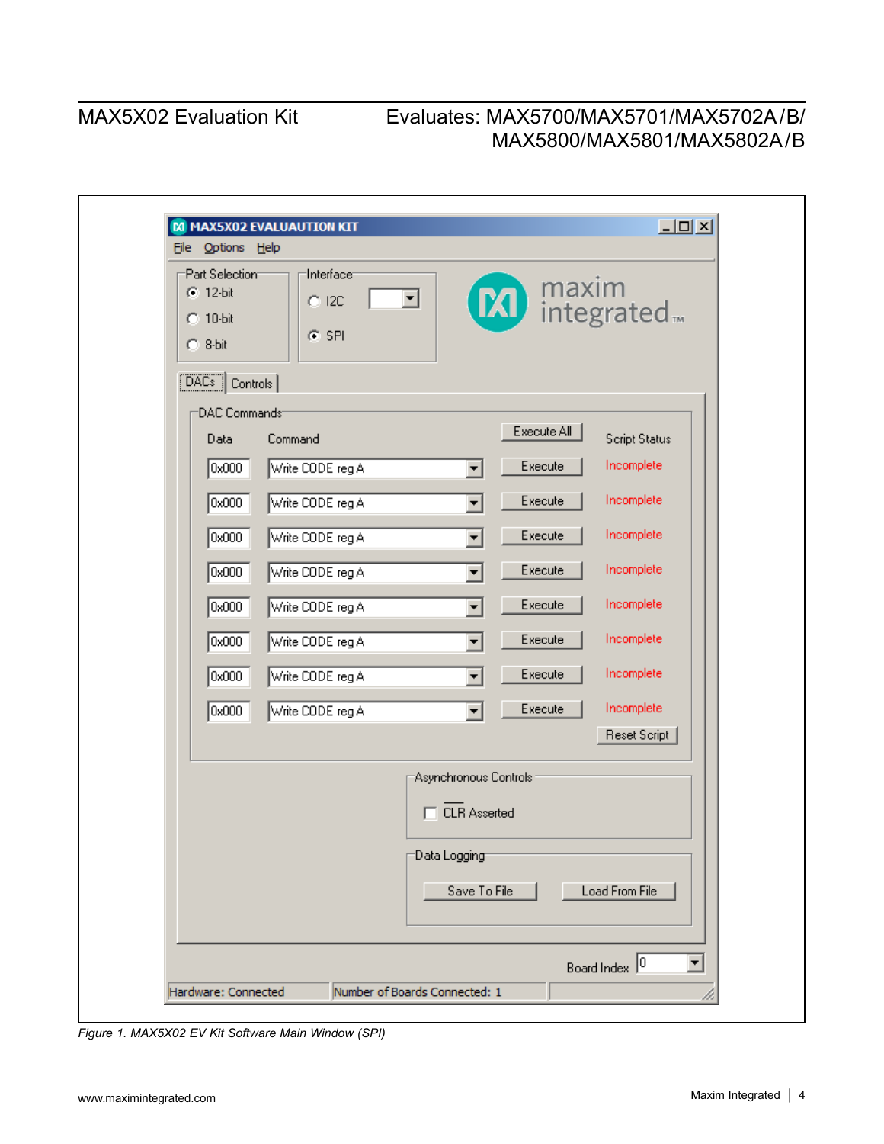| File Options Help                                                                   | $\Box$ D $\Box$<br>M MAX5X02 EVALUAUTION KIT                                                                                                                                                                                                                                                                                                                                                                                                                                        |
|-------------------------------------------------------------------------------------|-------------------------------------------------------------------------------------------------------------------------------------------------------------------------------------------------------------------------------------------------------------------------------------------------------------------------------------------------------------------------------------------------------------------------------------------------------------------------------------|
| Part Selection<br>$C$ 12-bit<br>$C$ 10-bit<br>$C.8-bit$                             | Interface <sup>-</sup><br>M integrated <sub>™</sub><br>$\vert \mathbf{v} \vert$<br>$C$ I2C<br>$C$ SPI                                                                                                                                                                                                                                                                                                                                                                               |
| $\boxed{\text{DACs}}$ Controls                                                      |                                                                                                                                                                                                                                                                                                                                                                                                                                                                                     |
| DAC Commands<br>Data<br>0x000<br>0x000<br>0x000<br>0x000<br>0x000<br>0x000<br>0x000 | Execute All<br><b>Script Status</b><br>Command<br>Incomplete<br>Execute<br>Write CODE reg A<br>$\blacktriangledown$<br>Incomplete<br>Execute<br>Write CODE reg A<br>▼<br>Incomplete<br>Execute<br>Write CODE reg A<br>$\blacktriangledown$<br>Incomplete<br>Execute<br>Write CODE reg A<br>$\blacktriangledown$<br>Incomplete<br>Execute<br>Write CODE reg A<br>$\blacktriangledown$<br>Incomplete<br>Execute<br>Write CODE reg A<br>▼<br>Incomplete<br>Execute<br>Write CODE reg A |
| 0x000                                                                               | Incomplete<br>Execute<br>Write CODE reg A<br>$\blacktriangledown$                                                                                                                                                                                                                                                                                                                                                                                                                   |
|                                                                                     | Reset Script<br>Asynchronous Controls<br><b>CLR Asserted</b><br>Data Logging<br>Save To File<br>Load From File                                                                                                                                                                                                                                                                                                                                                                      |
| Hardware: Connected                                                                 | Board Index 0<br>Number of Boards Connected: 1                                                                                                                                                                                                                                                                                                                                                                                                                                      |

*Figure 1. MAX5X02 EV Kit Software Main Window (SPI)*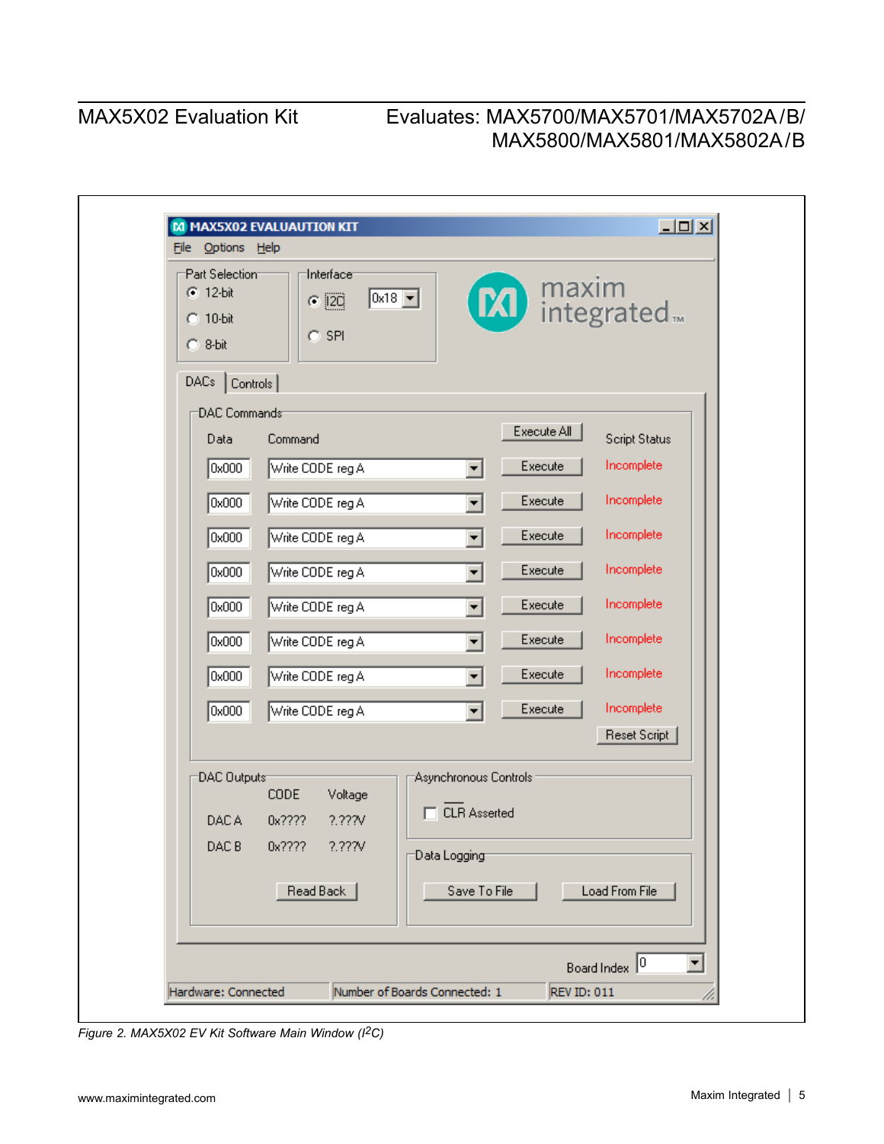|                                                                                | M MAX5X02 EVALUAUTION KIT                                                                    | $\Box$ lal $\times$                   |
|--------------------------------------------------------------------------------|----------------------------------------------------------------------------------------------|---------------------------------------|
| File Options Help<br>Part Selection<br>$C = 12-bit$<br>$C$ 10-bit<br>$C.8-bit$ | Interface <sup>-</sup><br><b>20</b> integrated.<br>$0x18$ $\boxed{ }$<br>$C$ [2C]<br>$C$ SPI |                                       |
| DACs<br>Controls                                                               |                                                                                              |                                       |
| DAC Commands                                                                   |                                                                                              |                                       |
| Data                                                                           | Execute All<br>Command                                                                       | <b>Script Status</b>                  |
| 0x000                                                                          | Execute<br>Write CODE reg A<br>$\blacktriangledown$                                          | Incomplete                            |
| 0x000                                                                          | Write CODE reg A<br>Execute<br>$\blacktriangledown$                                          | Incomplete                            |
| 0x000                                                                          | Write CODE reg A<br>Execute<br>$\blacktriangledown$                                          | Incomplete                            |
| 0x000                                                                          | Execute<br>Write CODE reg A<br>$\blacktriangledown$                                          | Incomplete                            |
| 0x000                                                                          | Execute<br>Write CODE reg A<br>$\blacktriangledown$                                          | Incomplete                            |
| 0x000                                                                          | Execute<br>Write CODE reg A<br>$\blacktriangledown$                                          | Incomplete                            |
| 0x000                                                                          | Execute<br>Write CODE reg A<br>$\overline{\phantom{a}}$                                      | Incomplete                            |
| 0x000                                                                          | Execute<br>Write CODE reg A<br>$\blacktriangledown$                                          | Incomplete                            |
|                                                                                |                                                                                              | Reset Script                          |
| DAC Outputs                                                                    | Asynchronous Controls:                                                                       |                                       |
|                                                                                | CODE<br>Voltage<br>□ CLR Asserted                                                            |                                       |
| DAC A                                                                          | 0x????<br>2.227V                                                                             |                                       |
| DAC B                                                                          | 0x???? ?.???V<br>Data Logging                                                                |                                       |
|                                                                                | Read Back<br>Save To File                                                                    | Load From File                        |
|                                                                                |                                                                                              | Board Index 0<br>$\blacktriangledown$ |
| Hardware: Connected                                                            | Number of Boards Connected: 1<br><b>REV ID: 011</b>                                          |                                       |

*Figure 2. MAX5X02 EV Kit Software Main Window (I2C)*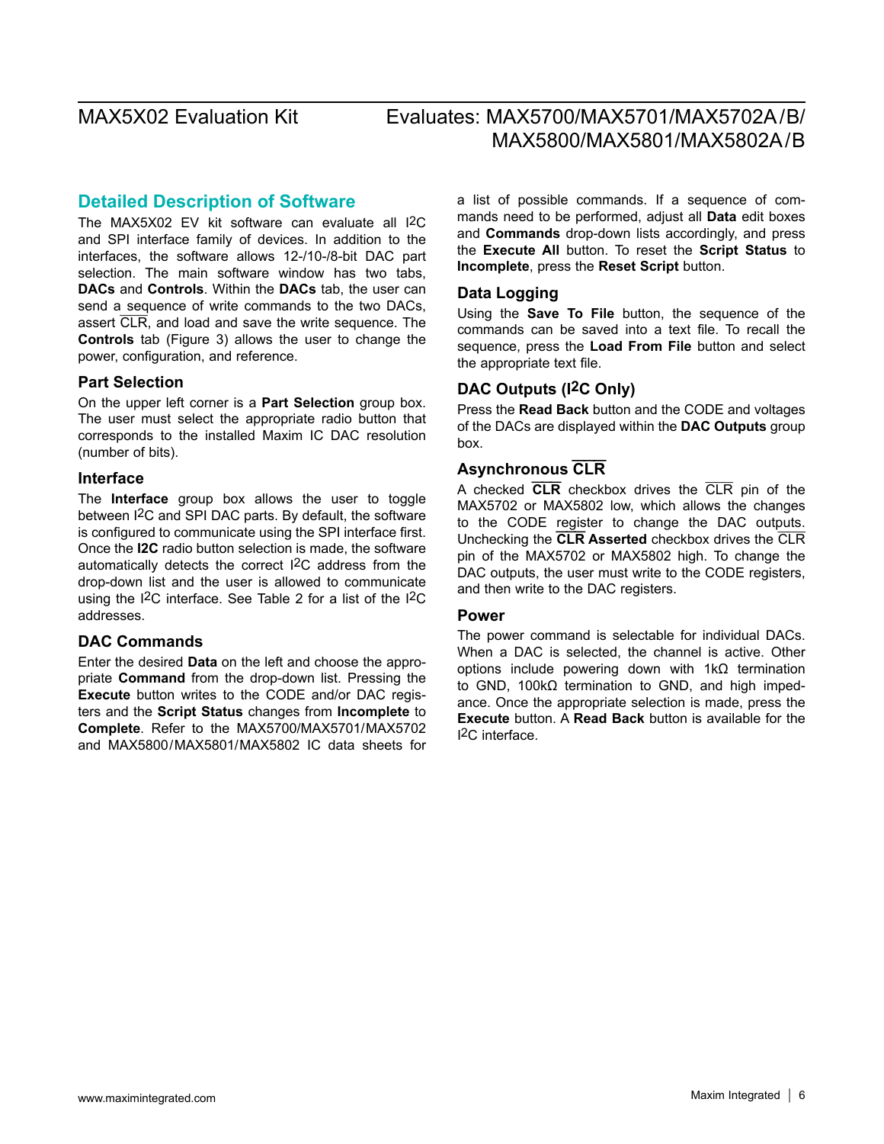### **Detailed Description of Software**

The MAX5X02 EV kit software can evaluate all I<sup>2</sup>C and SPI interface family of devices. In addition to the interfaces, the software allows 12-/10-/8-bit DAC part selection. The main software window has two tabs, **DACs** and **Controls**. Within the **DACs** tab, the user can send a sequence of write commands to the two DACs, assert CLR, and load and save the write sequence. The **Controls** tab (Figure 3) allows the user to change the power, configuration, and reference.

#### **Part Selection**

On the upper left corner is a **Part Selection** group box. The user must select the appropriate radio button that corresponds to the installed Maxim IC DAC resolution (number of bits).

#### **Interface**

The **Interface** group box allows the user to toggle between I2C and SPI DAC parts. By default, the software is configured to communicate using the SPI interface first. Once the **I2C** radio button selection is made, the software automatically detects the correct I2C address from the drop-down list and the user is allowed to communicate using the I2C interface. See Table 2 for a list of the I2C addresses.

#### **DAC Commands**

Enter the desired **Data** on the left and choose the appropriate **Command** from the drop-down list. Pressing the **Execute** button writes to the CODE and/or DAC registers and the **Script Status** changes from **Incomplete** to **Complete**. Refer to the MAX5700/MAX5701/MAX5702 and MAX5800/MAX5801/MAX5802 IC data sheets for a list of possible commands. If a sequence of commands need to be performed, adjust all **Data** edit boxes and **Commands** drop-down lists accordingly, and press the **Execute All** button. To reset the **Script Status** to **Incomplete**, press the **Reset Script** button.

#### **Data Logging**

Using the **Save To File** button, the sequence of the commands can be saved into a text file. To recall the sequence, press the **Load From File** button and select the appropriate text file.

### **DAC Outputs (I2C Only)**

Press the **Read Back** button and the CODE and voltages of the DACs are displayed within the **DAC Outputs** group box.

### **Asynchronous CLR**

A checked **CLR** checkbox drives the CLR pin of the MAX5702 or MAX5802 low, which allows the changes to the CODE register to change the DAC outputs. Unchecking the **CLR Asserted** checkbox drives the CLR pin of the MAX5702 or MAX5802 high. To change the DAC outputs, the user must write to the CODE registers, and then write to the DAC registers.

#### **Power**

The power command is selectable for individual DACs. When a DAC is selected, the channel is active. Other options include powering down with 1kΩ termination to GND, 100kΩ termination to GND, and high impedance. Once the appropriate selection is made, press the **Execute** button. A **Read Back** button is available for the I2C interface.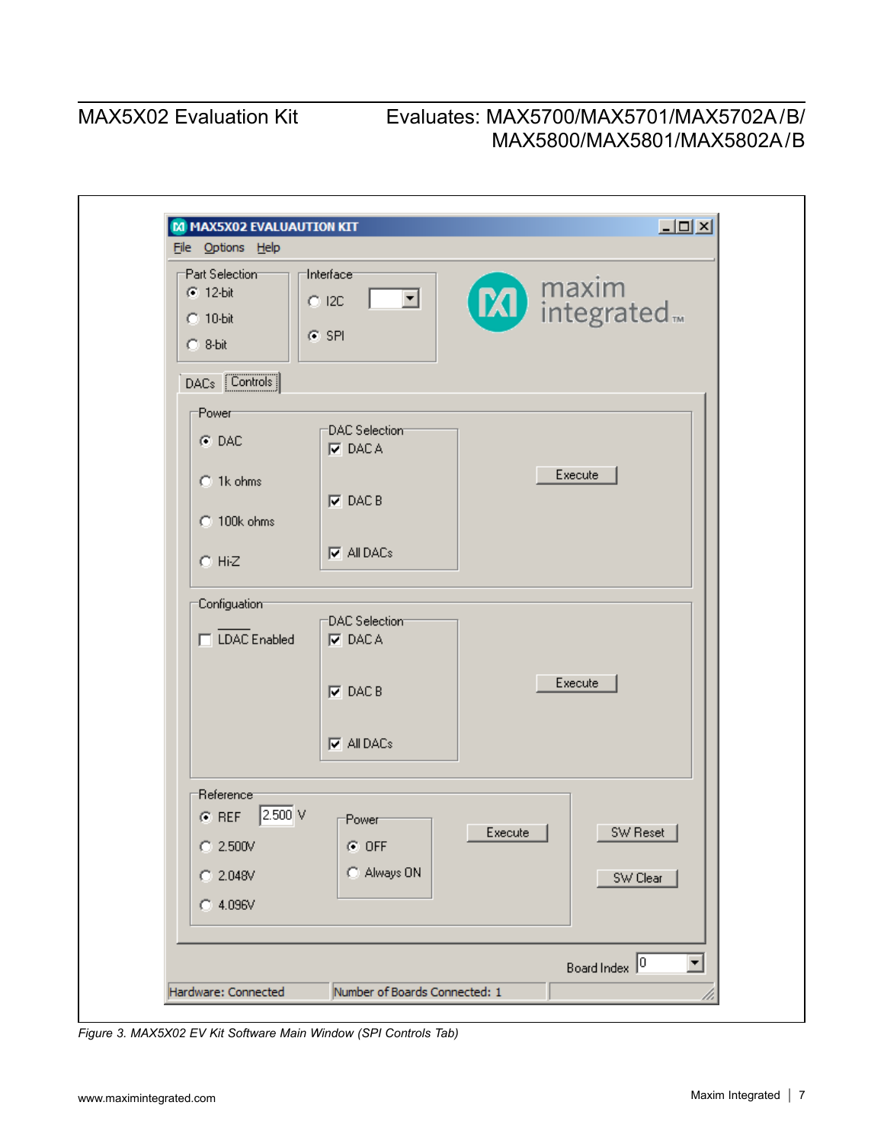| M MAX5X02 EVALUAUTION KIT<br>File Options Help               |                                                                     |         | $\Box$ D $\times$                     |
|--------------------------------------------------------------|---------------------------------------------------------------------|---------|---------------------------------------|
| Part Selection<br>$G$ 12-bit<br>$C$ 10-bit<br>$C$ 8-bit      | Interface <sup>-</sup><br>$\vert \cdot \vert$<br>$C$ I2C<br>$C$ SPI |         | <b>M</b> integrated.                  |
| DACs <b>Controls</b>                                         |                                                                     |         |                                       |
| <b>Power</b><br>$G$ DAC                                      | DAC Selection<br>$\nabla$ DACA                                      |         |                                       |
| C 1k ohms<br>C 100k ohms                                     | $\nabla$ DAC B                                                      |         | Execute                               |
| $C$ Hi-Z                                                     | $\nabla$ All DACs                                                   |         |                                       |
| Configuation                                                 | DAC Selection                                                       |         |                                       |
| □ LDAC Enabled                                               | $\nabla$ DACA<br>$\nabla$ DAC B                                     |         | Execute                               |
|                                                              | $\nabla$ All DACs                                                   |         |                                       |
| Reference <sup>-</sup><br>$2.500$ V<br>$G$ REF<br>$C$ 2.500V | :Power:<br>$C$ OFF                                                  | Execute | SW Reset                              |
| $C$ 2.048V                                                   | C Always ON                                                         |         | SW Clear                              |
| $C$ 4.096V                                                   |                                                                     |         |                                       |
|                                                              |                                                                     |         | Board Index 0<br>$\blacktriangledown$ |
| Hardware: Connected                                          | Number of Boards Connected: 1                                       |         |                                       |

*Figure 3. MAX5X02 EV Kit Software Main Window (SPI Controls Tab)*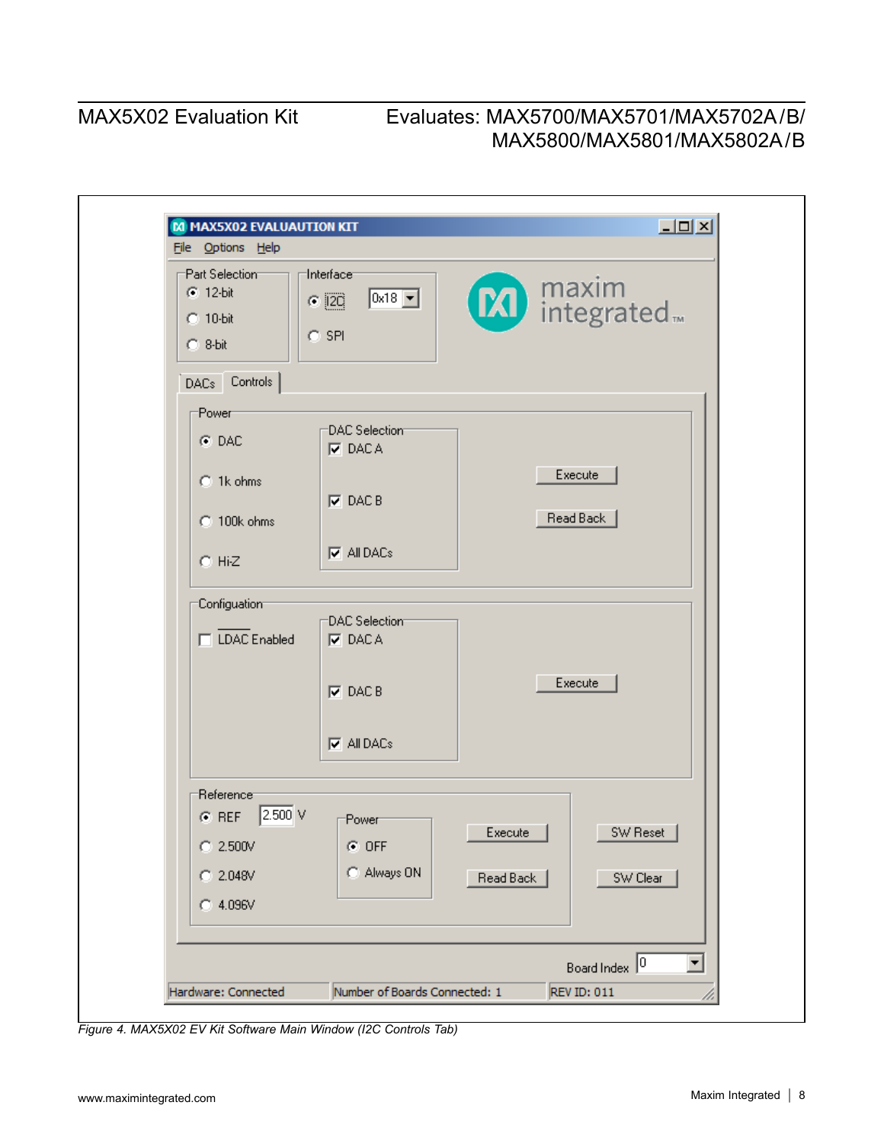| M MAX5X02 EVALUAUTION KIT<br>File Options Help        |                                                                    |           | $\Box$ D $\times$    |                      |
|-------------------------------------------------------|--------------------------------------------------------------------|-----------|----------------------|----------------------|
| Part Selection<br>$C$ 12-bit<br>C 10-bit<br>$C.8-bit$ | Interface <sup>-</sup><br>$0x18$ $\boxed{}$<br>$C$ [20]<br>$C$ SPI |           | <b>M</b> integrated. |                      |
| DACs Controls                                         |                                                                    |           |                      |                      |
| <b>Power</b>                                          |                                                                    |           |                      |                      |
| $G$ DAC                                               | DAC Selection<br>$\nabla$ DACA                                     |           |                      |                      |
| C 1k ohms                                             | $\nabla$ DAC B                                                     |           | Execute              |                      |
| C 100k ohms                                           |                                                                    |           | Read Back            |                      |
| $C$ Hi-Z                                              | $\nabla$ All DACs                                                  |           |                      |                      |
| Configuation                                          |                                                                    |           |                      |                      |
| □ LDAC Enabled                                        | DAC Selection<br>$\nabla$ DACA                                     |           |                      |                      |
|                                                       | $\nabla$ DAC B                                                     |           | Execute              |                      |
|                                                       | $\nabla$ All DACs                                                  |           |                      |                      |
| Reference <sup>-</sup>                                |                                                                    |           |                      |                      |
| 2.500 V<br>$G$ REF                                    | :Power                                                             |           |                      |                      |
| $C$ 2.500V                                            | $G$ OFF                                                            | Execute   | SW Reset             |                      |
| $C$ 2.048V                                            | C Always ON                                                        | Read Back | SW Clear             |                      |
| $C$ 4.096V                                            |                                                                    |           |                      |                      |
|                                                       |                                                                    |           | Board Index 0        | $\blacktriangledown$ |
| Hardware: Connected                                   | Number of Boards Connected: 1                                      |           | <b>REV ID: 011</b>   |                      |

*Figure 4. MAX5X02 EV Kit Software Main Window (I2C Controls Tab)*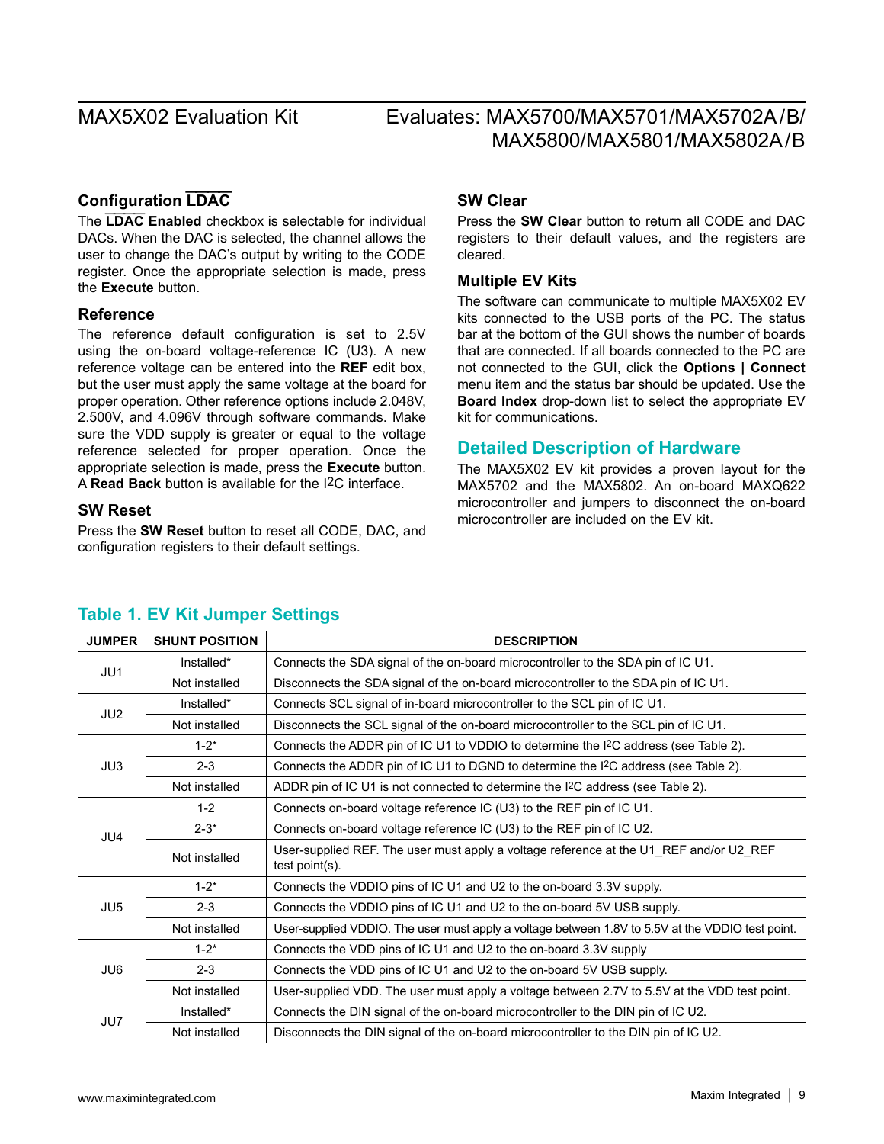### **Configuration LDAC**

The **LDAC Enabled** checkbox is selectable for individual DACs. When the DAC is selected, the channel allows the user to change the DAC's output by writing to the CODE register. Once the appropriate selection is made, press the **Execute** button.

#### **Reference**

The reference default configuration is set to 2.5V using the on-board voltage-reference IC (U3). A new reference voltage can be entered into the **REF** edit box, but the user must apply the same voltage at the board for proper operation. Other reference options include 2.048V, 2.500V, and 4.096V through software commands. Make sure the VDD supply is greater or equal to the voltage reference selected for proper operation. Once the appropriate selection is made, press the **Execute** button. A **Read Back** button is available for the I2C interface.

#### **SW Reset**

Press the **SW Reset** button to reset all CODE, DAC, and configuration registers to their default settings.

### **SW Clear**

Press the **SW Clear** button to return all CODE and DAC registers to their default values, and the registers are cleared.

#### **Multiple EV Kits**

The software can communicate to multiple MAX5X02 EV kits connected to the USB ports of the PC. The status bar at the bottom of the GUI shows the number of boards that are connected. If all boards connected to the PC are not connected to the GUI, click the **Options | Connect** menu item and the status bar should be updated. Use the **Board Index** drop-down list to select the appropriate EV kit for communications.

### **Detailed Description of Hardware**

The MAX5X02 EV kit provides a proven layout for the MAX5702 and the MAX5802. An on-board MAXQ622 microcontroller and jumpers to disconnect the on-board microcontroller are included on the EV kit.

| <b>JUMPER</b>   | <b>SHUNT POSITION</b> | <b>DESCRIPTION</b>                                                                                       |
|-----------------|-----------------------|----------------------------------------------------------------------------------------------------------|
| JU1             | Installed*            | Connects the SDA signal of the on-board microcontroller to the SDA pin of IC U1.                         |
|                 | Not installed         | Disconnects the SDA signal of the on-board microcontroller to the SDA pin of IC U1.                      |
|                 | Installed*            | Connects SCL signal of in-board microcontroller to the SCL pin of IC U1.                                 |
| JU2             | Not installed         | Disconnects the SCL signal of the on-board microcontroller to the SCL pin of IC U1.                      |
|                 | $1 - 2^*$             | Connects the ADDR pin of IC U1 to VDDIO to determine the I <sup>2</sup> C address (see Table 2).         |
| JU3             | $2 - 3$               | Connects the ADDR pin of IC U1 to DGND to determine the I <sup>2</sup> C address (see Table 2).          |
|                 | Not installed         | ADDR pin of IC U1 is not connected to determine the I <sup>2</sup> C address (see Table 2).              |
|                 | $1 - 2$               | Connects on-board voltage reference IC (U3) to the REF pin of IC U1.                                     |
| JU4             | $2 - 3*$              | Connects on-board voltage reference IC (U3) to the REF pin of IC U2.                                     |
|                 | Not installed         | User-supplied REF. The user must apply a voltage reference at the U1_REF and/or U2_REF<br>test point(s). |
|                 | $1 - 2^*$             | Connects the VDDIO pins of IC U1 and U2 to the on-board 3.3V supply.                                     |
| JU <sub>5</sub> | $2 - 3$               | Connects the VDDIO pins of IC U1 and U2 to the on-board 5V USB supply.                                   |
|                 | Not installed         | User-supplied VDDIO. The user must apply a voltage between 1.8V to 5.5V at the VDDIO test point.         |
|                 | $1 - 2^*$             | Connects the VDD pins of IC U1 and U2 to the on-board 3.3V supply                                        |
| JU6             | $2 - 3$               | Connects the VDD pins of IC U1 and U2 to the on-board 5V USB supply.                                     |
|                 | Not installed         | User-supplied VDD. The user must apply a voltage between 2.7V to 5.5V at the VDD test point.             |
|                 | Installed*            | Connects the DIN signal of the on-board microcontroller to the DIN pin of IC U2.                         |
| JU7             | Not installed         | Disconnects the DIN signal of the on-board microcontroller to the DIN pin of IC U2.                      |

### **Table 1. EV Kit Jumper Settings**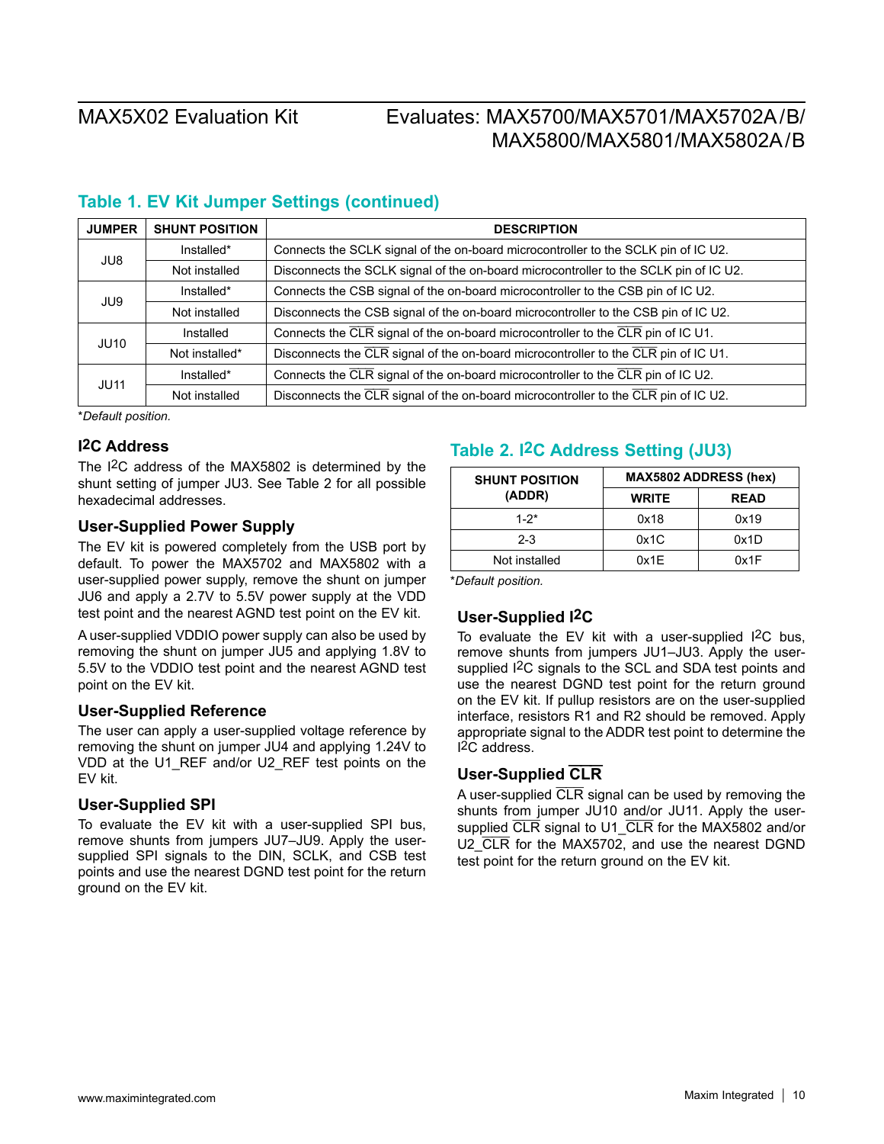## **Table 1. EV Kit Jumper Settings (continued)**

| <b>JUMPER</b> | <b>SHUNT POSITION</b> | <b>DESCRIPTION</b>                                                                    |
|---------------|-----------------------|---------------------------------------------------------------------------------------|
| JU8           | Installed*            | Connects the SCLK signal of the on-board microcontroller to the SCLK pin of IC U2.    |
|               | Not installed         | Disconnects the SCLK signal of the on-board microcontroller to the SCLK pin of IC U2. |
| JU9           | Installed*            | Connects the CSB signal of the on-board microcontroller to the CSB pin of IC U2.      |
|               | Not installed         | Disconnects the CSB signal of the on-board microcontroller to the CSB pin of IC U2.   |
| <b>JU10</b>   | Installed             | Connects the CLR signal of the on-board microcontroller to the CLR pin of IC U1.      |
|               | Not installed*        | Disconnects the CLR signal of the on-board microcontroller to the CLR pin of IC U1.   |
| JU11          | Installed*            | Connects the CLR signal of the on-board microcontroller to the CLR pin of IC U2.      |
|               | Not installed         | Disconnects the CLR signal of the on-board microcontroller to the CLR pin of IC U2.   |

\**Default position.*

### **I2C Address**

The I2C address of the MAX5802 is determined by the shunt setting of jumper JU3. See Table 2 for all possible hexadecimal addresses.

#### **User-Supplied Power Supply**

The EV kit is powered completely from the USB port by default. To power the MAX5702 and MAX5802 with a user-supplied power supply, remove the shunt on jumper JU6 and apply a 2.7V to 5.5V power supply at the VDD test point and the nearest AGND test point on the EV kit.

A user-supplied VDDIO power supply can also be used by removing the shunt on jumper JU5 and applying 1.8V to 5.5V to the VDDIO test point and the nearest AGND test point on the EV kit.

### **User-Supplied Reference**

The user can apply a user-supplied voltage reference by removing the shunt on jumper JU4 and applying 1.24V to VDD at the U1\_REF and/or U2\_REF test points on the EV kit.

### **User-Supplied SPI**

To evaluate the EV kit with a user-supplied SPI bus, remove shunts from jumpers JU7–JU9. Apply the usersupplied SPI signals to the DIN, SCLK, and CSB test points and use the nearest DGND test point for the return ground on the EV kit.

## **Table 2. I2C Address Setting (JU3)**

| <b>SHUNT POSITION</b> | <b>MAX5802 ADDRESS (hex)</b> |             |  |
|-----------------------|------------------------------|-------------|--|
| (ADDR)                | <b>WRITE</b>                 | <b>READ</b> |  |
| $1 - 2^*$             | 0x18                         | 0x19        |  |
| $2 - 3$               | 0x1C                         | 0x1D        |  |
| Not installed         | 0x1E                         | 0x1F        |  |

\**Default position.*

### **User-Supplied I2C**

To evaluate the EV kit with a user-supplied I2C bus, remove shunts from jumpers JU1–JU3. Apply the usersupplied I2C signals to the SCL and SDA test points and use the nearest DGND test point for the return ground on the EV kit. If pullup resistors are on the user-supplied interface, resistors R1 and R2 should be removed. Apply appropriate signal to the ADDR test point to determine the I2C address.

### **User-Supplied CLR**

A user-supplied CLR signal can be used by removing the shunts from jumper JU10 and/or JU11. Apply the usersupplied CLR signal to U1 CLR for the MAX5802 and/or U2 CLR for the MAX5702, and use the nearest DGND test point for the return ground on the EV kit.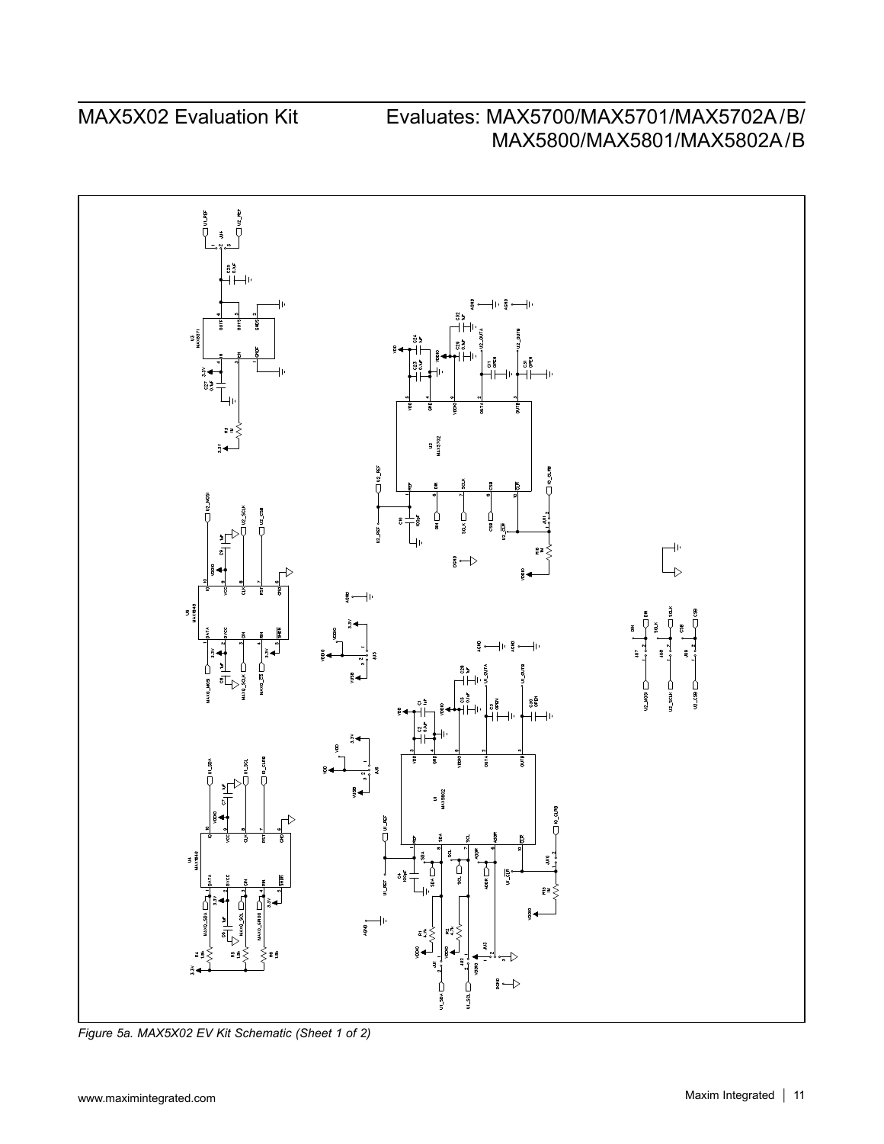

*Figure 5a. MAX5X02 EV Kit Schematic (Sheet 1 of 2)*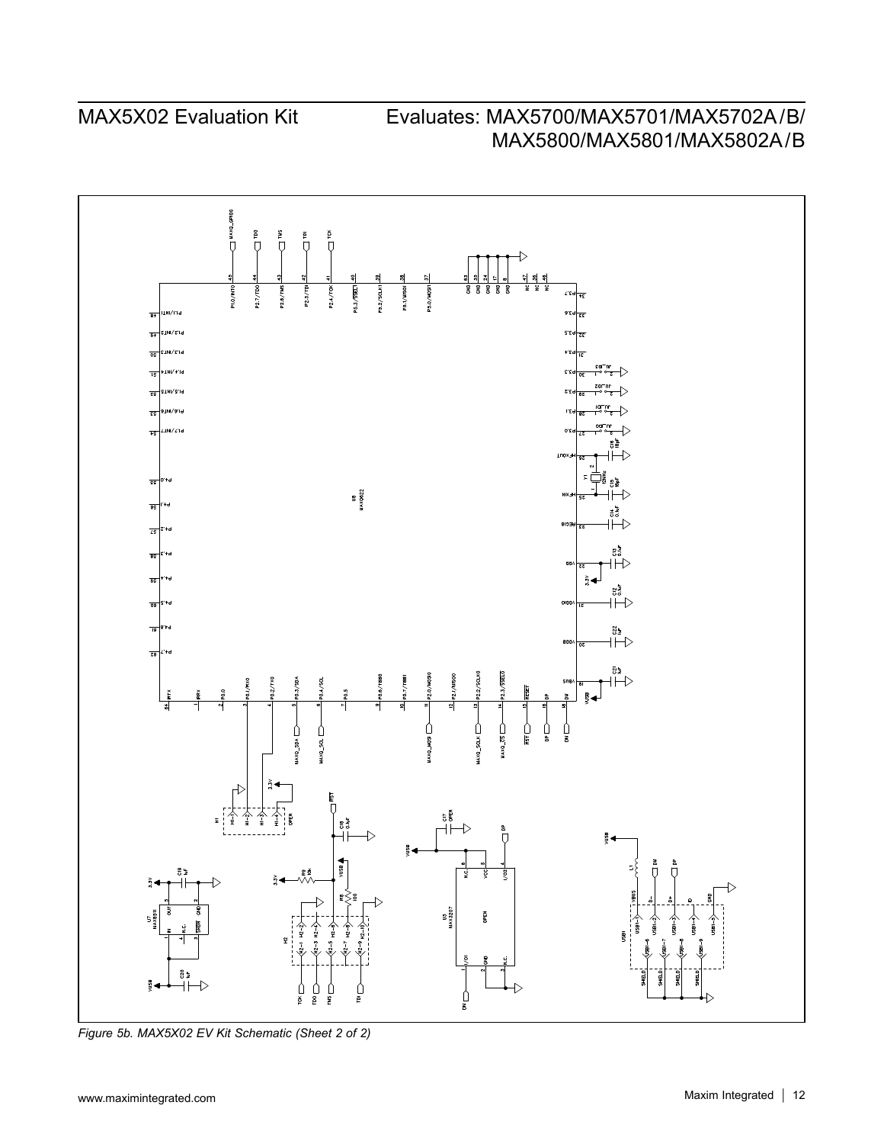

*Figure 5b. MAX5X02 EV Kit Schematic (Sheet 2 of 2)*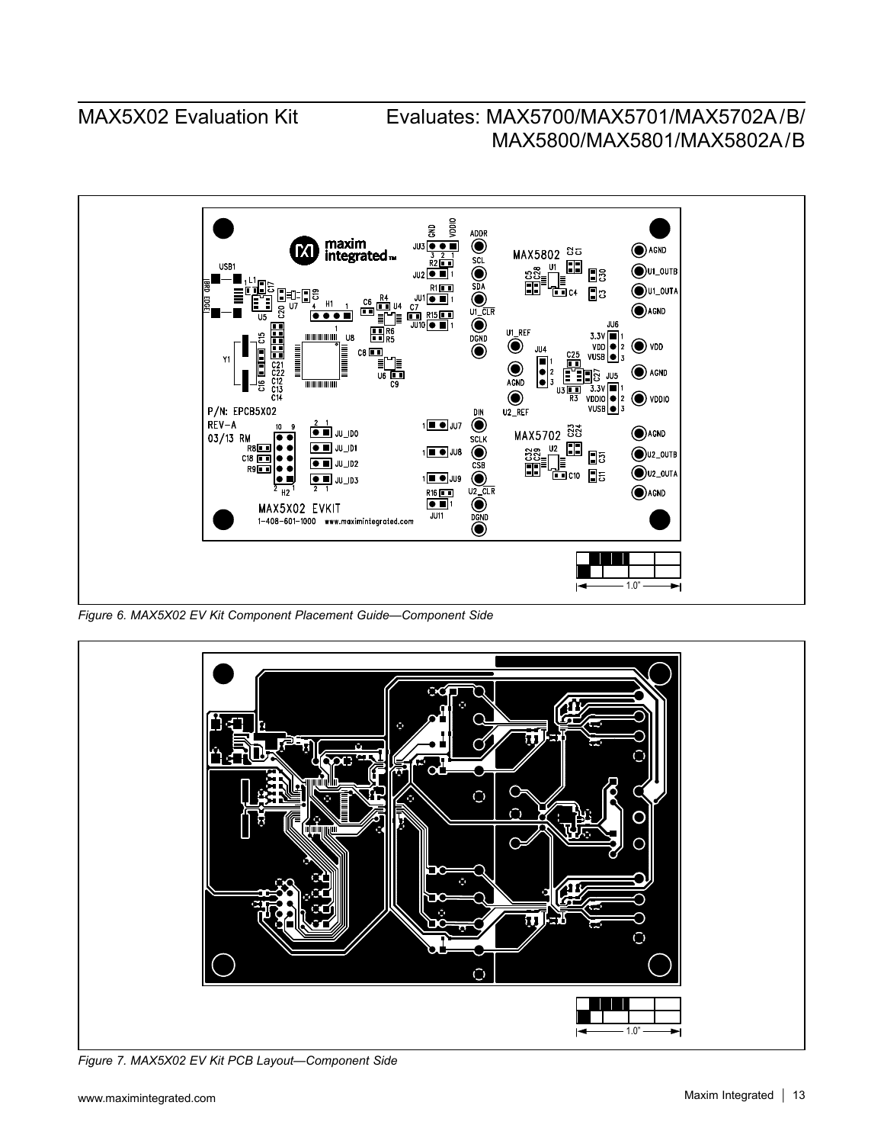

*Figure 6. MAX5X02 EV Kit Component Placement Guide—Component Side*



*Figure 7. MAX5X02 EV Kit PCB Layout—Component Side*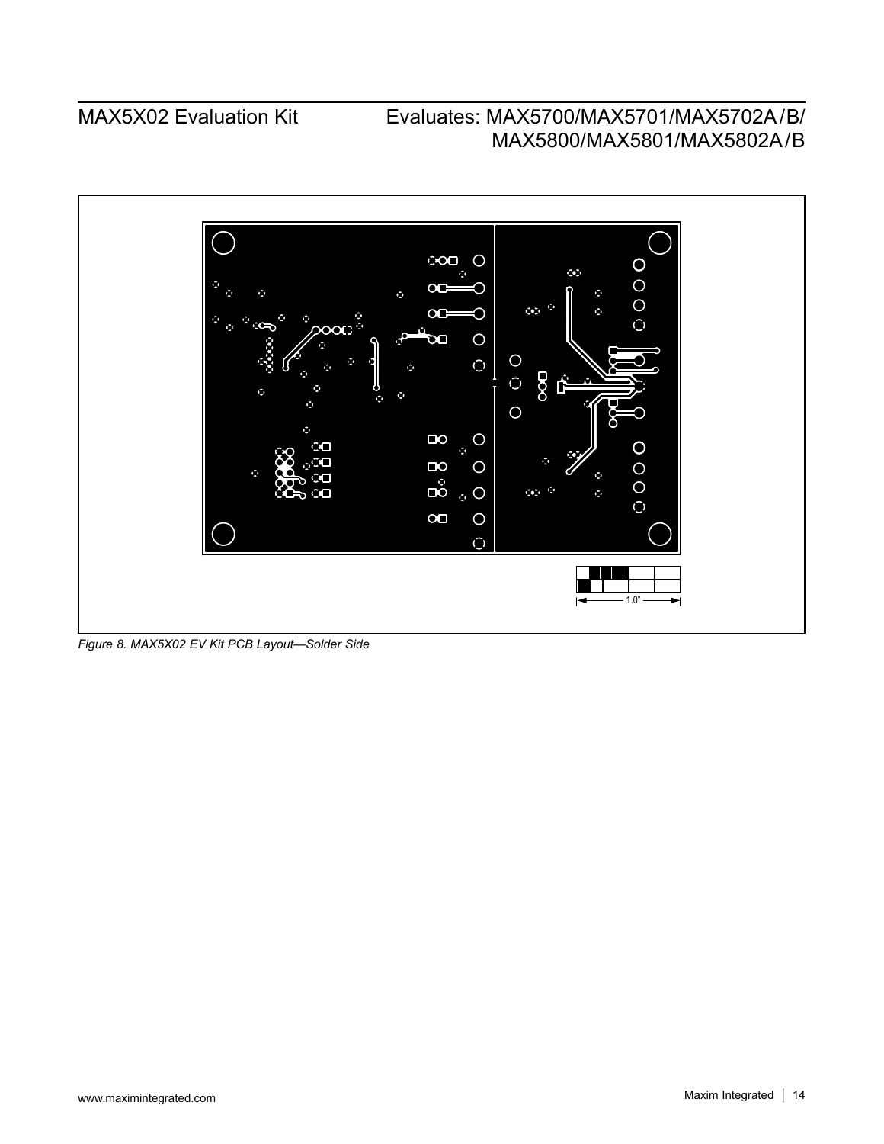

*Figure 8. MAX5X02 EV Kit PCB Layout—Solder Side*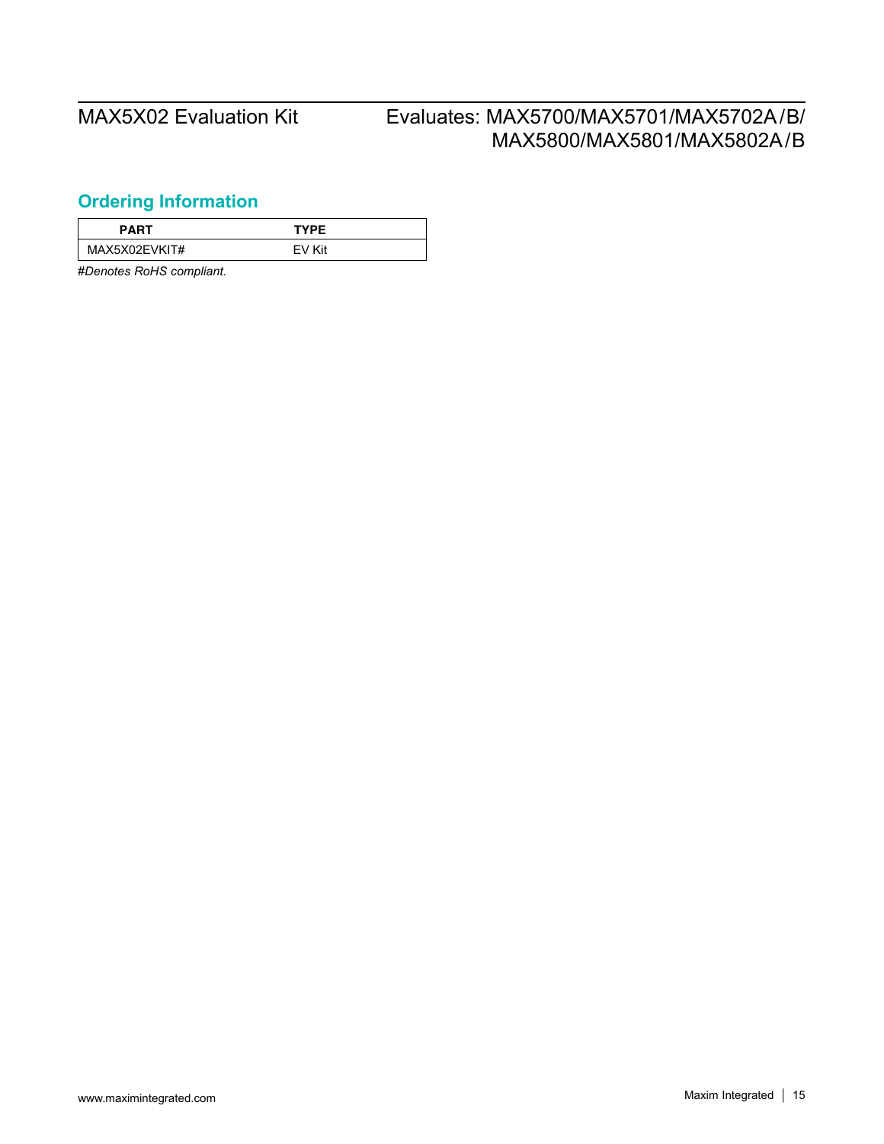## <span id="page-14-0"></span>**Ordering Information**

| PART          | <b>TYPE</b> |  |
|---------------|-------------|--|
| MAX5X02EVKIT# | EV Kit      |  |

#*Denotes RoHS compliant.*